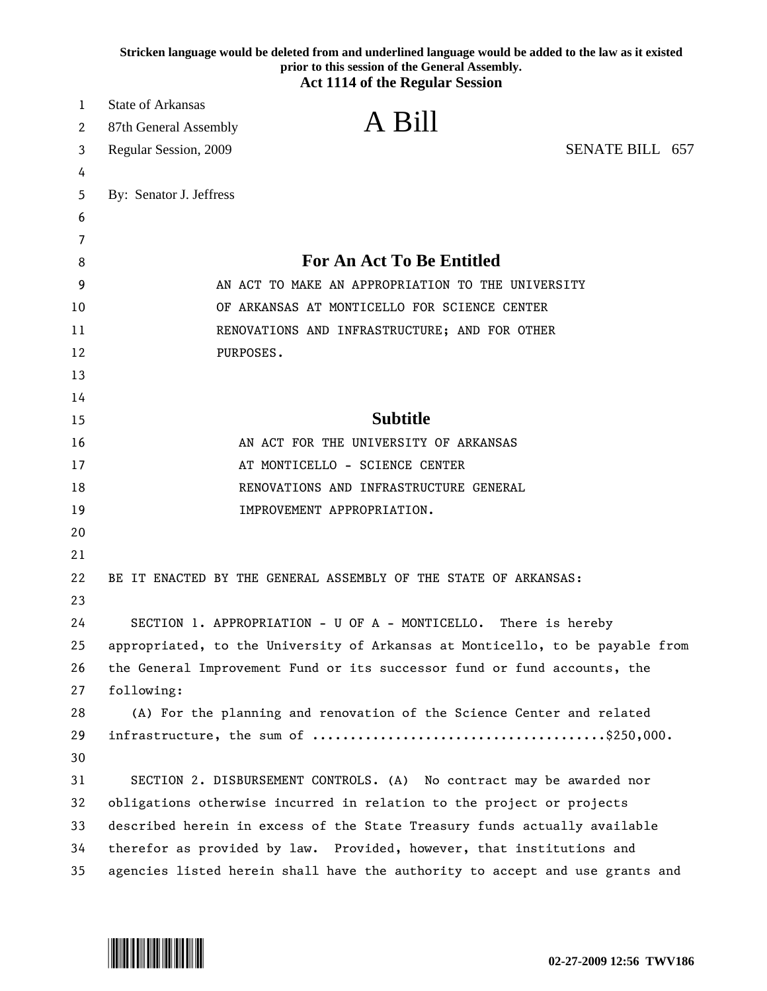|    | Stricken language would be deleted from and underlined language would be added to the law as it existed<br>prior to this session of the General Assembly.<br><b>Act 1114 of the Regular Session</b> |  |
|----|-----------------------------------------------------------------------------------------------------------------------------------------------------------------------------------------------------|--|
| 1  | <b>State of Arkansas</b>                                                                                                                                                                            |  |
| 2  | A Bill<br>87th General Assembly                                                                                                                                                                     |  |
| 3  | SENATE BILL 657<br>Regular Session, 2009                                                                                                                                                            |  |
| 4  |                                                                                                                                                                                                     |  |
| 5  | By: Senator J. Jeffress                                                                                                                                                                             |  |
| 6  |                                                                                                                                                                                                     |  |
| 7  |                                                                                                                                                                                                     |  |
| 8  | <b>For An Act To Be Entitled</b>                                                                                                                                                                    |  |
| 9  | AN ACT TO MAKE AN APPROPRIATION TO THE UNIVERSITY                                                                                                                                                   |  |
| 10 | OF ARKANSAS AT MONTICELLO FOR SCIENCE CENTER                                                                                                                                                        |  |
| 11 | RENOVATIONS AND INFRASTRUCTURE; AND FOR OTHER                                                                                                                                                       |  |
| 12 | PURPOSES.                                                                                                                                                                                           |  |
| 13 |                                                                                                                                                                                                     |  |
| 14 |                                                                                                                                                                                                     |  |
| 15 | <b>Subtitle</b>                                                                                                                                                                                     |  |
| 16 | AN ACT FOR THE UNIVERSITY OF ARKANSAS                                                                                                                                                               |  |
| 17 | AT MONTICELLO - SCIENCE CENTER                                                                                                                                                                      |  |
| 18 | RENOVATIONS AND INFRASTRUCTURE GENERAL                                                                                                                                                              |  |
| 19 | IMPROVEMENT APPROPRIATION.                                                                                                                                                                          |  |
| 20 |                                                                                                                                                                                                     |  |
| 21 |                                                                                                                                                                                                     |  |
| 22 | BE IT ENACTED BY THE GENERAL ASSEMBLY OF THE STATE OF ARKANSAS:                                                                                                                                     |  |
| 23 |                                                                                                                                                                                                     |  |
| 24 | SECTION 1. APPROPRIATION - U OF A - MONTICELLO. There is hereby                                                                                                                                     |  |
| 25 | appropriated, to the University of Arkansas at Monticello, to be payable from                                                                                                                       |  |
| 26 | the General Improvement Fund or its successor fund or fund accounts, the                                                                                                                            |  |
| 27 | following:                                                                                                                                                                                          |  |
| 28 | (A) For the planning and renovation of the Science Center and related                                                                                                                               |  |
| 29 |                                                                                                                                                                                                     |  |
| 30 |                                                                                                                                                                                                     |  |
| 31 | SECTION 2. DISBURSEMENT CONTROLS. (A) No contract may be awarded nor                                                                                                                                |  |
| 32 | obligations otherwise incurred in relation to the project or projects                                                                                                                               |  |
| 33 | described herein in excess of the State Treasury funds actually available                                                                                                                           |  |
| 34 | therefor as provided by law. Provided, however, that institutions and                                                                                                                               |  |
| 35 | agencies listed herein shall have the authority to accept and use grants and                                                                                                                        |  |